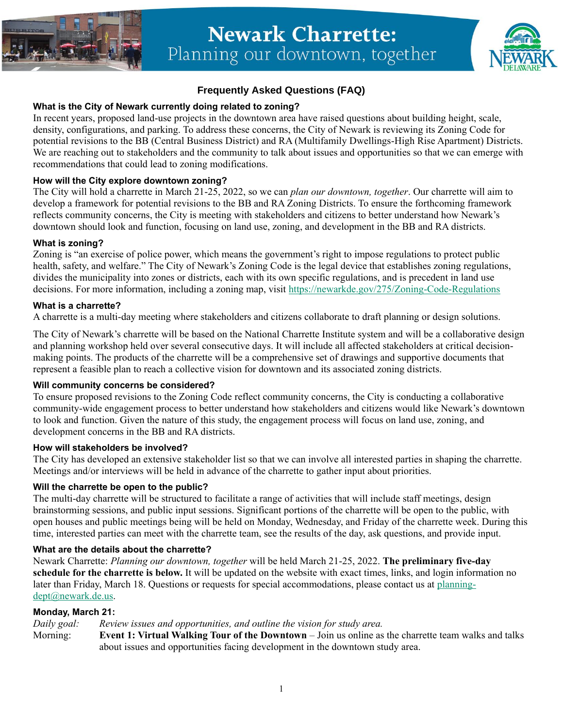

# **Newark Charrette:** Planning our downtown, together



# **Frequently Asked Questions (FAQ)**

# **What is the City of Newark currently doing related to zoning?**

In recent years, proposed land-use projects in the downtown area have raised questions about building height, scale, density, configurations, and parking. To address these concerns, the City of Newark is reviewing its Zoning Code for potential revisions to the BB (Central Business District) and RA (Multifamily Dwellings-High Rise Apartment) Districts. We are reaching out to stakeholders and the community to talk about issues and opportunities so that we can emerge with recommendations that could lead to zoning modifications.

### **How will the City explore downtown zoning?**

The City will hold a charrette in March 21-25, 2022, so we can *plan our downtown, together*. Our charrette will aim to develop a framework for potential revisions to the BB and RA Zoning Districts. To ensure the forthcoming framework reflects community concerns, the City is meeting with stakeholders and citizens to better understand how Newark's downtown should look and function, focusing on land use, zoning, and development in the BB and RA districts.

#### **What is zoning?**

Zoning is "an exercise of police power, which means the government's right to impose regulations to protect public health, safety, and welfare." The City of Newark's Zoning Code is the legal device that establishes zoning regulations, divides the municipality into zones or districts, each with its own specific regulations, and is precedent in land use decisions. For more information, including a zoning map, visit<https://newarkde.gov/275/Zoning-Code-Regulations>

#### **What is a charrette?**

A charrette is a multi-day meeting where stakeholders and citizens collaborate to draft planning or design solutions.

The City of Newark's charrette will be based on the National Charrette Institute system and will be a collaborative design and planning workshop held over several consecutive days. It will include all affected stakeholders at critical decisionmaking points. The products of the charrette will be a comprehensive set of drawings and supportive documents that represent a feasible plan to reach a collective vision for downtown and its associated zoning districts.

#### **Will community concerns be considered?**

To ensure proposed revisions to the Zoning Code reflect community concerns, the City is conducting a collaborative community-wide engagement process to better understand how stakeholders and citizens would like Newark's downtown to look and function. Given the nature of this study, the engagement process will focus on land use, zoning, and development concerns in the BB and RA districts.

#### **How will stakeholders be involved?**

The City has developed an extensive stakeholder list so that we can involve all interested parties in shaping the charrette. Meetings and/or interviews will be held in advance of the charrette to gather input about priorities.

# **Will the charrette be open to the public?**

The multi-day charrette will be structured to facilitate a range of activities that will include staff meetings, design brainstorming sessions, and public input sessions. Significant portions of the charrette will be open to the public, with open houses and public meetings being will be held on Monday, Wednesday, and Friday of the charrette week. During this time, interested parties can meet with the charrette team, see the results of the day, ask questions, and provide input.

#### **What are the details about the charrette?**

Newark Charrette: *Planning our downtown, together* will be held March 21-25, 2022. **The preliminary five-day schedule for the charrette is below.** It will be updated on the website with exact times, links, and login information no later than Friday, March 18. Questions or requests for special accommodations, please contact us at [planning](mailto:planning-dept@newark.de.us)[dept@newark.de.us.](mailto:planning-dept@newark.de.us)

# **Monday, March 21:**

*Daily goal: Review issues and opportunities, and outline the vision for study area.*

Morning: **Event 1: Virtual Walking Tour of the Downtown** – Join us online as the charrette team walks and talks about issues and opportunities facing development in the downtown study area.